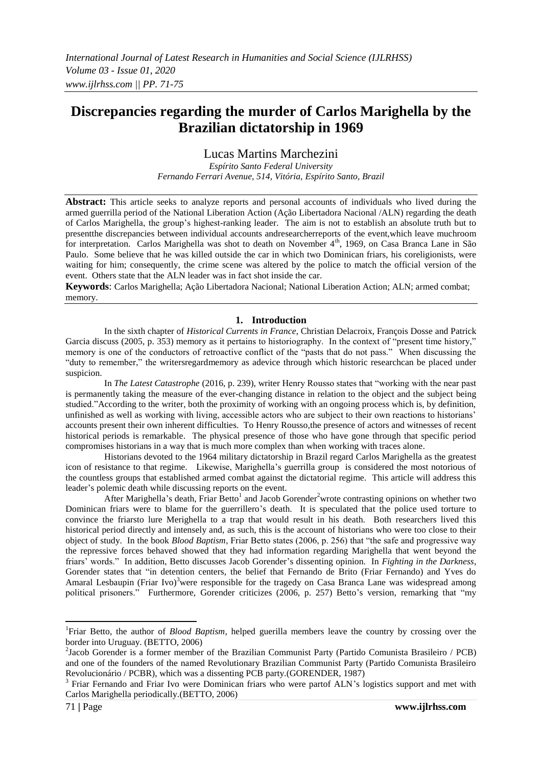# **Discrepancies regarding the murder of Carlos Marighella by the Brazilian dictatorship in 1969**

# Lucas Martins Marchezini

*Espírito Santo Federal University Fernando Ferrari Avenue, 514, Vitória, Espírito Santo, Brazil*

**Abstract:** This article seeks to analyze reports and personal accounts of individuals who lived during the armed guerrilla period of the National Liberation Action (Ação Libertadora Nacional /ALN) regarding the death of Carlos Marighella, the group's highest-ranking leader. The aim is not to establish an absolute truth but to presentthe discrepancies between individual accounts andresearcherreports of the event,which leave muchroom for interpretation. Carlos Marighella was shot to death on November 4<sup>th</sup>, 1969, on Casa Branca Lane in São Paulo. Some believe that he was killed outside the car in which two Dominican friars, his coreligionists, were waiting for him; consequently, the crime scene was altered by the police to match the official version of the event. Others state that the ALN leader was in fact shot inside the car.

**Keywords**: Carlos Marighella; Ação Libertadora Nacional; National Liberation Action; ALN; armed combat; memory.

### **1. Introduction**

In the sixth chapter of *Historical Currents in France*, Christian Delacroix, François Dosse and Patrick Garcia discuss (2005, p. 353) memory as it pertains to historiography. In the context of "present time history," memory is one of the conductors of retroactive conflict of the "pasts that do not pass." When discussing the "duty to remember," the writersregardmemory as adevice through which historic researchcan be placed under suspicion.

In *The Latest Catastrophe* (2016, p. 239), writer Henry Rousso states that "working with the near past is permanently taking the measure of the ever-changing distance in relation to the object and the subject being studied."According to the writer, both the proximity of working with an ongoing process which is, by definition, unfinished as well as working with living, accessible actors who are subject to their own reactions to historians' accounts present their own inherent difficulties. To Henry Rousso,the presence of actors and witnesses of recent historical periods is remarkable. The physical presence of those who have gone through that specific period compromises historians in a way that is much more complex than when working with traces alone.

Historians devoted to the 1964 military dictatorship in Brazil regard Carlos Marighella as the greatest icon of resistance to that regime. Likewise, Marighella's guerrilla group is considered the most notorious of the countless groups that established armed combat against the dictatorial regime. This article will address this leader's polemic death while discussing reports on the event.

After Marighella's death, Friar Betto<sup>1</sup> and Jacob Gorender<sup>2</sup>wrote contrasting opinions on whether two Dominican friars were to blame for the guerrillero's death. It is speculated that the police used torture to convince the friarsto lure Merighella to a trap that would result in his death. Both researchers lived this historical period directly and intensely and, as such, this is the account of historians who were too close to their object of study. In the book *Blood Baptism*, Friar Betto states (2006, p. 256) that "the safe and progressive way the repressive forces behaved showed that they had information regarding Marighella that went beyond the friars' words." In addition, Betto discusses Jacob Gorender's dissenting opinion. In *Fighting in the Darkness*, Gorender states that "in detention centers, the belief that Fernando de Brito (Friar Fernando) and Yves do Amaral Lesbaupin (Friar Ivo)<sup>3</sup>were responsible for the tragedy on Casa Branca Lane was widespread among political prisoners." Furthermore, Gorender criticizes (2006, p. 257) Betto's version, remarking that "my

**.** 

<sup>&</sup>lt;sup>1</sup>Friar Betto, the author of *Blood Baptism*, helped guerilla members leave the country by crossing over the border into Uruguay. (BETTO, 2006)

<sup>&</sup>lt;sup>2</sup>Jacob Gorender is a former member of the Brazilian Communist Party (Partido Comunista Brasileiro / PCB) and one of the founders of the named Revolutionary Brazilian Communist Party (Partido Comunista Brasileiro Revolucionário / PCBR), which was a dissenting PCB party.(GORENDER, 1987)

<sup>&</sup>lt;sup>3</sup> Friar Fernando and Friar Ivo were Dominican friars who were partof ALN's logistics support and met with Carlos Marighella periodically.(BETTO, 2006)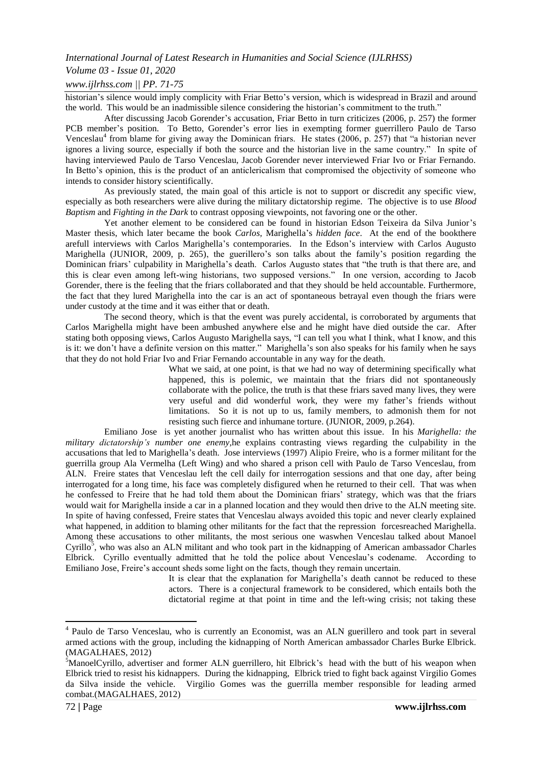#### *International Journal of Latest Research in Humanities and Social Science (IJLRHSS)*

## *Volume 03 - Issue 01, 2020*

### *www.ijlrhss.com || PP. 71-75*

historian's silence would imply complicity with Friar Betto's version, which is widespread in Brazil and around the world. This would be an inadmissible silence considering the historian's commitment to the truth."

After discussing Jacob Gorender's accusation, Friar Betto in turn criticizes (2006, p. 257) the former PCB member's position. To Betto, Gorender's error lies in exempting former guerrillero Paulo de Tarso Venceslau<sup>4</sup> from blame for giving away the Dominican friars. He states (2006, p. 257) that "a historian never ignores a living source, especially if both the source and the historian live in the same country." In spite of having interviewed Paulo de Tarso Venceslau, Jacob Gorender never interviewed Friar Ivo or Friar Fernando. In Betto's opinion, this is the product of an anticlericalism that compromised the objectivity of someone who intends to consider history scientifically.

As previously stated, the main goal of this article is not to support or discredit any specific view, especially as both researchers were alive during the military dictatorship regime. The objective is to use *Blood Baptism* and *Fighting in the Dark* to contrast opposing viewpoints, not favoring one or the other.

Yet another element to be considered can be found in historian Edson Teixeira da Silva Junior's Master thesis, which later became the book *Carlos,* Marighella's *hidden face*. At the end of the bookthere arefull interviews with Carlos Marighella's contemporaries. In the Edson's interview with Carlos Augusto Marighella (JUNIOR, 2009, p. 265), the guerillero's son talks about the family's position regarding the Dominican friars' culpability in Marighella's death. Carlos Augusto states that "the truth is that there are, and this is clear even among left-wing historians, two supposed versions." In one version, according to Jacob Gorender, there is the feeling that the friars collaborated and that they should be held accountable. Furthermore, the fact that they lured Marighella into the car is an act of spontaneous betrayal even though the friars were under custody at the time and it was either that or death.

The second theory, which is that the event was purely accidental, is corroborated by arguments that Carlos Marighella might have been ambushed anywhere else and he might have died outside the car. After stating both opposing views, Carlos Augusto Marighella says, "I can tell you what I think, what I know, and this is it: we don't have a definite version on this matter." Marighella's son also speaks for his family when he says that they do not hold Friar Ivo and Friar Fernando accountable in any way for the death.

> What we said, at one point, is that we had no way of determining specifically what happened, this is polemic, we maintain that the friars did not spontaneously collaborate with the police, the truth is that these friars saved many lives, they were very useful and did wonderful work, they were my father's friends without limitations. So it is not up to us, family members, to admonish them for not resisting such fierce and inhumane torture. (JUNIOR, 2009, p.264).

Emiliano Jose is yet another journalist who has written about this issue. In his *Marighella: the military dictatorship's number one enemy,*he explains contrasting views regarding the culpability in the accusations that led to Marighella's death. Jose interviews (1997) Alipio Freire, who is a former militant for the guerrilla group Ala Vermelha (Left Wing) and who shared a prison cell with Paulo de Tarso Venceslau, from ALN. Freire states that Venceslau left the cell daily for interrogation sessions and that one day, after being interrogated for a long time, his face was completely disfigured when he returned to their cell. That was when he confessed to Freire that he had told them about the Dominican friars' strategy, which was that the friars would wait for Marighella inside a car in a planned location and they would then drive to the ALN meeting site. In spite of having confessed, Freire states that Venceslau always avoided this topic and never clearly explained what happened, in addition to blaming other militants for the fact that the repression forcesreached Marighella. Among these accusations to other militants, the most serious one waswhen Venceslau talked about Manoel Cyrillo<sup>5</sup>, who was also an ALN militant and who took part in the kidnapping of American ambassador Charles Elbrick. Cyrillo eventually admitted that he told the police about Venceslau's codename. According to Emiliano Jose, Freire's account sheds some light on the facts, though they remain uncertain.

> It is clear that the explanation for Marighella's death cannot be reduced to these actors. There is a conjectural framework to be considered, which entails both the dictatorial regime at that point in time and the left-wing crisis; not taking these

**.** 

<sup>&</sup>lt;sup>4</sup> Paulo de Tarso Venceslau, who is currently an Economist, was an ALN guerillero and took part in several armed actions with the group, including the kidnapping of North American ambassador Charles Burke Elbrick. (MAGALHAES, 2012)

<sup>&</sup>lt;sup>5</sup>ManoelCyrillo, advertiser and former ALN guerrillero, hit Elbrick's head with the butt of his weapon when Elbrick tried to resist his kidnappers. During the kidnapping, Elbrick tried to fight back against Virgilio Gomes da Silva inside the vehicle. Virgilio Gomes was the guerrilla member responsible for leading armed combat.(MAGALHAES, 2012)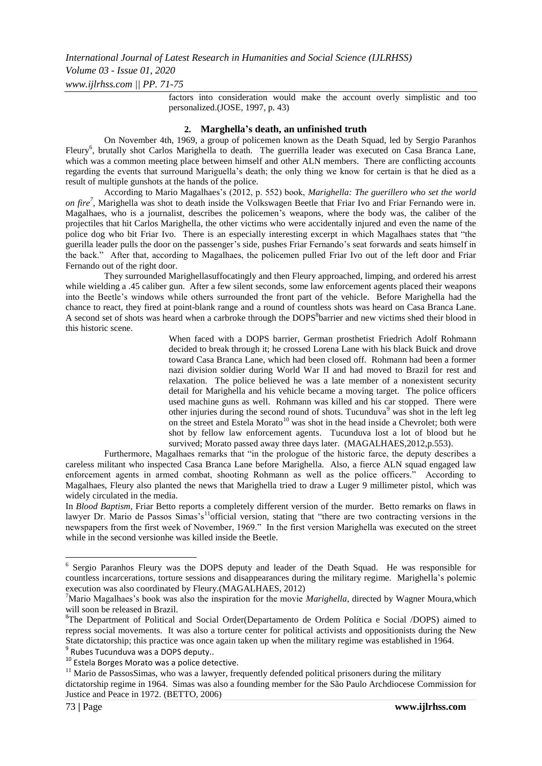factors into consideration would make the account overly simplistic and too personalized.(JOSE, 1997, p. 43)

## **2. Marghella's death, an unfinished truth**

On November 4th, 1969, a group of policemen known as the Death Squad, led by Sergio Paranhos Fleury<sup>6</sup>, brutally shot Carlos Marighella to death. The guerrilla leader was executed on Casa Branca Lane, which was a common meeting place between himself and other ALN members. There are conflicting accounts regarding the events that surround Mariguella's death; the only thing we know for certain is that he died as a result of multiple gunshots at the hands of the police.

According to Mario Magalhaes's (2012, p. 552) book, *Marighella: The guerillero who set the world on fire<sup>7</sup>* , Marighella was shot to death inside the Volkswagen Beetle that Friar Ivo and Friar Fernando were in. Magalhaes, who is a journalist, describes the policemen's weapons, where the body was, the caliber of the projectiles that hit Carlos Marighella, the other victims who were accidentally injured and even the name of the police dog who bit Friar Ivo. There is an especially interesting excerpt in which Magalhaes states that "the guerilla leader pulls the door on the passenger's side, pushes Friar Fernando's seat forwards and seats himself in the back." After that, according to Magalhaes, the policemen pulled Friar Ivo out of the left door and Friar Fernando out of the right door.

They surrounded Marighellasuffocatingly and then Fleury approached, limping, and ordered his arrest while wielding a .45 caliber gun. After a few silent seconds, some law enforcement agents placed their weapons into the Beetle's windows while others surrounded the front part of the vehicle. Before Marighella had the chance to react, they fired at point-blank range and a round of countless shots was heard on Casa Branca Lane. A second set of shots was heard when a carbroke through the DOPS<sup>8</sup>barrier and new victims shed their blood in this historic scene.

> When faced with a DOPS barrier, German prosthetist Friedrich Adolf Rohmann decided to break through it; he crossed Lorena Lane with his black Buick and drove toward Casa Branca Lane, which had been closed off. Rohmann had been a former nazi division soldier during World War II and had moved to Brazil for rest and relaxation. The police believed he was a late member of a nonexistent security detail for Marighella and his vehicle became a moving target. The police officers used machine guns as well. Rohmann was killed and his car stopped. There were other injuries during the second round of shots. Tucunduva<sup>9</sup> was shot in the left leg on the street and Estela Morato $10$  was shot in the head inside a Chevrolet; both were shot by fellow law enforcement agents. Tucunduva lost a lot of blood but he survived; Morato passed away three days later. (MAGALHAES, 2012, p.553).

Furthermore, Magalhaes remarks that "in the prologue of the historic farce, the deputy describes a careless militant who inspected Casa Branca Lane before Marighella. Also, a fierce ALN squad engaged law enforcement agents in armed combat, shooting Rohmann as well as the police officers." According to Magalhaes, Fleury also planted the news that Marighella tried to draw a Luger 9 millimeter pistol, which was widely circulated in the media.

In *Blood Baptism*, Friar Betto reports a completely different version of the murder. Betto remarks on flaws in lawyer Dr. Mario de Passos Simas's<sup>11</sup>official version, stating that "there are two contracting versions in the newspapers from the first week of November, 1969." In the first version Marighella was executed on the street while in the second versionhe was killed inside the Beetle.

**EXECUTE:**<br>
<sup>6</sup> Sergio Paranhos Fleury was the DOPS deputy and leader of the Death Squad. He was responsible for countless incarcerations, torture sessions and disappearances during the military regime. Marighella's polemic execution was also coordinated by Fleury.(MAGALHAES, 2012)

<sup>7</sup>Mario Magalhaes's book was also the inspiration for the movie *Marighella*, directed by Wagner Moura,which will soon be released in Brazil.

<sup>&</sup>lt;sup>8</sup>The Department of Political and Social Order(Departamento de Ordem Política e Social /DOPS) aimed to repress social movements. It was also a torture center for political activists and oppositionists during the New State dictatorship; this practice was once again taken up when the military regime was established in 1964. 9 Rubes Tucunduva was a DOPS deputy..

<sup>10</sup> Estela Borges Morato was a police detective.

<sup>&</sup>lt;sup>11</sup> Mario de PassosSimas, who was a lawyer, frequently defended political prisoners during the military dictatorship regime in 1964. Simas was also a founding member for the São Paulo Archdiocese Commission for Justice and Peace in 1972. (BETTO, 2006)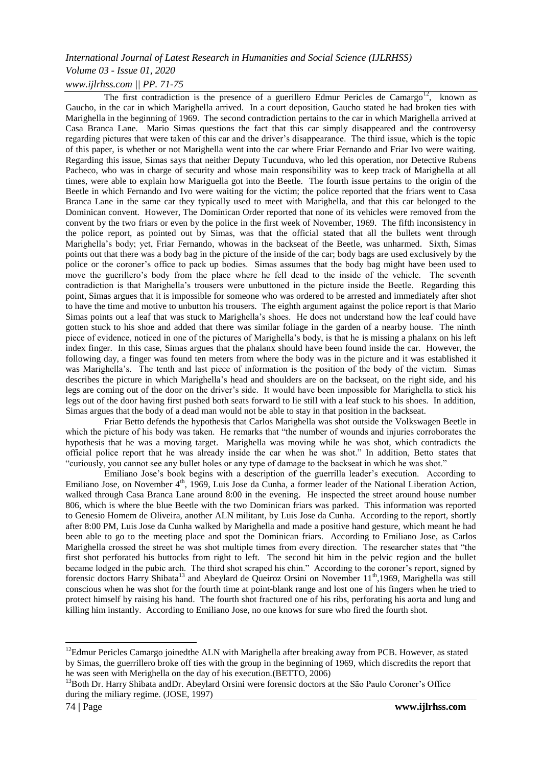# *International Journal of Latest Research in Humanities and Social Science (IJLRHSS)*

# *Volume 03 - Issue 01, 2020*

# *www.ijlrhss.com || PP. 71-75*

The first contradiction is the presence of a guerillero Edmur Pericles de Camargo<sup>12</sup>, known as Gaucho, in the car in which Marighella arrived. In a court deposition, Gaucho stated he had broken ties with Marighella in the beginning of 1969. The second contradiction pertains to the car in which Marighella arrived at Casa Branca Lane. Mario Simas questions the fact that this car simply disappeared and the controversy regarding pictures that were taken of this car and the driver's disappearance. The third issue, which is the topic of this paper, is whether or not Marighella went into the car where Friar Fernando and Friar Ivo were waiting. Regarding this issue, Simas says that neither Deputy Tucunduva, who led this operation, nor Detective Rubens Pacheco, who was in charge of security and whose main responsibility was to keep track of Marighella at all times, were able to explain how Mariguella got into the Beetle. The fourth issue pertains to the origin of the Beetle in which Fernando and Ivo were waiting for the victim; the police reported that the friars went to Casa Branca Lane in the same car they typically used to meet with Marighella, and that this car belonged to the Dominican convent. However, The Dominican Order reported that none of its vehicles were removed from the convent by the two friars or even by the police in the first week of November, 1969. The fifth inconsistency in the police report, as pointed out by Simas, was that the official stated that all the bullets went through Marighella's body; yet, Friar Fernando, whowas in the backseat of the Beetle, was unharmed. Sixth, Simas points out that there was a body bag in the picture of the inside of the car; body bags are used exclusively by the police or the coroner's office to pack up bodies. Simas assumes that the body bag might have been used to move the guerillero's body from the place where he fell dead to the inside of the vehicle. The seventh contradiction is that Marighella's trousers were unbuttoned in the picture inside the Beetle. Regarding this point, Simas argues that it is impossible for someone who was ordered to be arrested and immediately after shot to have the time and motive to unbutton his trousers. The eighth argument against the police report is that Mario Simas points out a leaf that was stuck to Marighella's shoes. He does not understand how the leaf could have gotten stuck to his shoe and added that there was similar foliage in the garden of a nearby house. The ninth piece of evidence, noticed in one of the pictures of Marighella's body, is that he is missing a phalanx on his left index finger. In this case, Simas argues that the phalanx should have been found inside the car. However, the following day, a finger was found ten meters from where the body was in the picture and it was established it was Marighella's. The tenth and last piece of information is the position of the body of the victim. Simas describes the picture in which Marighella's head and shoulders are on the backseat, on the right side, and his legs are coming out of the door on the driver's side. It would have been impossible for Marighella to stick his legs out of the door having first pushed both seats forward to lie still with a leaf stuck to his shoes. In addition, Simas argues that the body of a dead man would not be able to stay in that position in the backseat.

Friar Betto defends the hypothesis that Carlos Marighella was shot outside the Volkswagen Beetle in which the picture of his body was taken. He remarks that "the number of wounds and injuries corroborates the hypothesis that he was a moving target. Marighella was moving while he was shot, which contradicts the official police report that he was already inside the car when he was shot." In addition, Betto states that "curiously, you cannot see any bullet holes or any type of damage to the backseat in which he was shot."

Emiliano Jose's book begins with a description of the guerrilla leader's execution. According to Emiliano Jose, on November 4<sup>th</sup>, 1969, Luis Jose da Cunha, a former leader of the National Liberation Action, walked through Casa Branca Lane around 8:00 in the evening. He inspected the street around house number 806, which is where the blue Beetle with the two Dominican friars was parked. This information was reported to Genesio Homem de Oliveira, another ALN militant, by Luis Jose da Cunha. According to the report, shortly after 8:00 PM, Luis Jose da Cunha walked by Marighella and made a positive hand gesture, which meant he had been able to go to the meeting place and spot the Dominican friars. According to Emiliano Jose, as Carlos Marighella crossed the street he was shot multiple times from every direction. The researcher states that "the first shot perforated his buttocks from right to left. The second hit him in the pelvic region and the bullet became lodged in the pubic arch. The third shot scraped his chin." According to the coroner's report, signed by forensic doctors Harry Shibata<sup>13</sup> and Abeylard de Queiroz Orsini on November 11<sup>th</sup>,1969, Marighella was still conscious when he was shot for the fourth time at point-blank range and lost one of his fingers when he tried to protect himself by raising his hand. The fourth shot fractured one of his ribs, perforating his aorta and lung and killing him instantly. According to Emiliano Jose, no one knows for sure who fired the fourth shot.

 $\overline{a}$ 

<sup>&</sup>lt;sup>12</sup>Edmur Pericles Camargo joinedthe ALN with Marighella after breaking away from PCB. However, as stated by Simas, the guerrillero broke off ties with the group in the beginning of 1969, which discredits the report that he was seen with Merighella on the day of his execution.(BETTO, 2006)

<sup>&</sup>lt;sup>13</sup>Both Dr. Harry Shibata andDr. Abeylard Orsini were forensic doctors at the São Paulo Coroner's Office during the miliary regime. (JOSE, 1997)